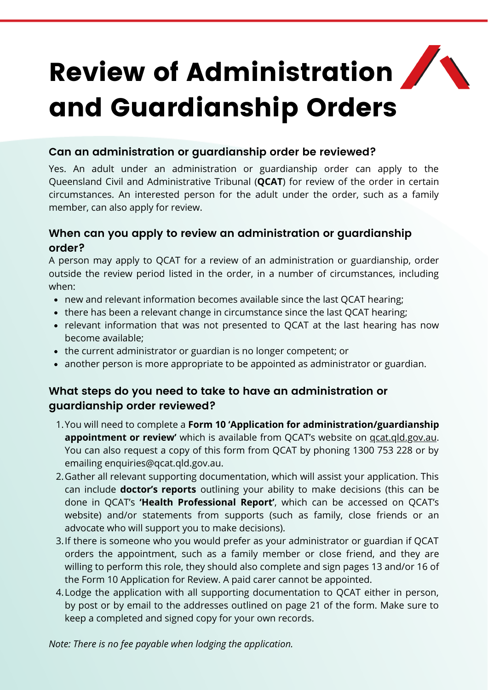# Review of Administration and Guardianship Orders

### **Can an administration or guardianship order be reviewed?**

Yes. An adult under an administration or guardianship order can apply to the Queensland Civil and Administrative Tribunal (**QCAT**) for review of the order in certain circumstances. An interested person for the adult under the order, such as a family member, can also apply for review.

### **When can you apply to review an administration or guardianship order?**

A person may apply to QCAT for a review of an administration or guardianship, order outside the review period listed in the order, in a number of circumstances, including when:

- new and relevant information becomes available since the last QCAT hearing;
- there has been a relevant change in circumstance since the last QCAT hearing;
- relevant information that was not presented to QCAT at the last hearing has now become available;
- the current administrator or guardian is no longer competent; or
- another person is more appropriate to be appointed as administrator or guardian.

## **What steps do you need to take to have an administration or guardianship order reviewed?**

- You will need to complete a **Form 10 'Application for administration/guardianship** 1. **appointment or review'** which is available from QCAT's website on *gcat.gld.gov.au.* You can also request a copy of this form from QCAT by phoning 1300 753 228 or by emailing [enquiries@qcat.qld.gov.au.](mailto:enquiries@qcat.qld.gov.au)
- Gather all relevant supporting documentation, which will assist your application. This 2. can include **doctor's reports** outlining your ability to make decisions (this can be done in QCAT's **'Health Professional Report'**, which can be accessed on QCAT's website) and/or statements from supports (such as family, close friends or an advocate who will support you to make decisions).
- 3. If there is someone who you would prefer as your administrator or guardian if QCAT orders the appointment, such as a family member or close friend, and they are willing to perform this role, they should also complete and sign pages 13 and/or 16 of the Form 10 Application for Review. A paid carer cannot be appointed.
- Lodge the application with all supporting documentation to QCAT either in person, 4. by post or by email to the addresses outlined on page 21 of the form. Make sure to keep a completed and signed copy for your own records.

*Note: There is no fee payable when lodging the application.*